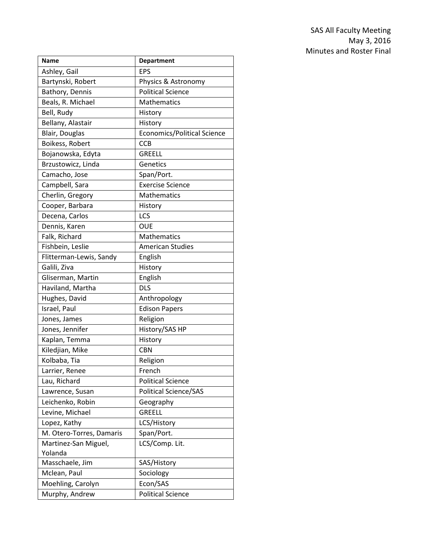| <b>Name</b>              | <b>Department</b>           |
|--------------------------|-----------------------------|
| Ashley, Gail             | <b>EPS</b>                  |
| Bartynski, Robert        | Physics & Astronomy         |
| Bathory, Dennis          | <b>Political Science</b>    |
| Beals, R. Michael        | Mathematics                 |
| Bell, Rudy               | History                     |
| Bellany, Alastair        | History                     |
| Blair, Douglas           | Economics/Political Science |
| Boikess, Robert          | <b>CCB</b>                  |
| Bojanowska, Edyta        | <b>GREELL</b>               |
| Brzustowicz, Linda       | Genetics                    |
| Camacho, Jose            | Span/Port.                  |
| Campbell, Sara           | <b>Exercise Science</b>     |
| Cherlin, Gregory         | <b>Mathematics</b>          |
| Cooper, Barbara          | History                     |
| Decena, Carlos           | LCS                         |
| Dennis, Karen            | <b>OUE</b>                  |
| Falk, Richard            | Mathematics                 |
| Fishbein, Leslie         | <b>American Studies</b>     |
| Flitterman-Lewis, Sandy  | English                     |
| Galili, Ziva             | History                     |
| Gliserman, Martin        | English                     |
| Haviland, Martha         | <b>DLS</b>                  |
| Hughes, David            | Anthropology                |
| Israel, Paul             | <b>Edison Papers</b>        |
| Jones, James             | Religion                    |
| Jones, Jennifer          | History/SAS HP              |
| Kaplan, Temma            | History                     |
| Kiledjian, Mike          | <b>CBN</b>                  |
| Kolbaba, Tia             | Religion                    |
| Larrier, Renee           | French                      |
| Lau, Richard             | <b>Political Science</b>    |
| Lawrence, Susan          | Political Science/SAS       |
| Leichenko, Robin         | Geography                   |
| Levine, Michael          | <b>GREELL</b>               |
| Lopez, Kathy             | LCS/History                 |
| M. Otero-Torres, Damaris | Span/Port.                  |
| Martinez-San Miguel,     | LCS/Comp. Lit.              |
| Yolanda                  |                             |
| Masschaele, Jim          | SAS/History                 |
| Mclean, Paul             | Sociology                   |
| Moehling, Carolyn        | Econ/SAS                    |
| Murphy, Andrew           | <b>Political Science</b>    |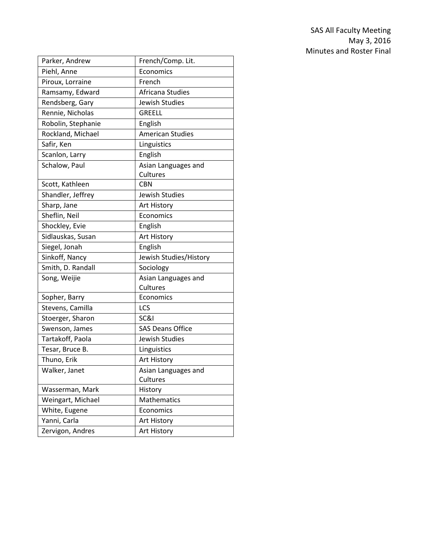| Parker, Andrew     | French/Comp. Lit.       |
|--------------------|-------------------------|
| Piehl, Anne        | Economics               |
| Piroux, Lorraine   | French                  |
| Ramsamy, Edward    | Africana Studies        |
| Rendsberg, Gary    | Jewish Studies          |
| Rennie, Nicholas   | <b>GREELL</b>           |
| Robolin, Stephanie | English                 |
| Rockland, Michael  | <b>American Studies</b> |
| Safir, Ken         | Linguistics             |
| Scanlon, Larry     | English                 |
| Schalow, Paul      | Asian Languages and     |
|                    | Cultures                |
| Scott, Kathleen    | <b>CBN</b>              |
| Shandler, Jeffrey  | Jewish Studies          |
| Sharp, Jane        | Art History             |
| Sheflin, Neil      | Economics               |
| Shockley, Evie     | English                 |
| Sidlauskas, Susan  | Art History             |
| Siegel, Jonah      | English                 |
| Sinkoff, Nancy     | Jewish Studies/History  |
| Smith, D. Randall  | Sociology               |
| Song, Weijie       | Asian Languages and     |
|                    | Cultures                |
| Sopher, Barry      | Economics               |
| Stevens, Camilla   | LCS                     |
| Stoerger, Sharon   | SC&I                    |
| Swenson, James     | <b>SAS Deans Office</b> |
| Tartakoff, Paola   | Jewish Studies          |
| Tesar, Bruce B.    | Linguistics             |
| Thuno, Erik        | Art History             |
| Walker, Janet      | Asian Languages and     |
|                    | Cultures                |
| Wasserman, Mark    | History                 |
| Weingart, Michael  | Mathematics             |
| White, Eugene      | Economics               |
| Yanni, Carla       | Art History             |
| Zervigon, Andres   | Art History             |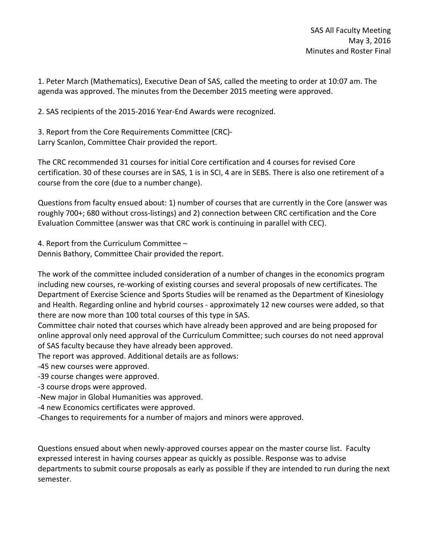1. Peter March (Mathematics), Executive Dean of SAS, called the meeting to order at 10:07 am. The agenda was approved. The minutes from the December 2015 meeting were approved.

2. SAS recipients of the 2015-2016 Year-End Awards were recognized.

3. Report from the Core Requirements Committee (CRC)- Larry Scanlon, Committee Chair provided the report.

The CRC recommended 31 courses for initial Core certification and 4 courses for revised Core certification. 30 of these courses are in SAS, 1 is in SCI, 4 are in SEBS. There is also one retirement of a course from the core (due to a number change).

Questions from faculty ensued about: 1) number of courses that are currently in the Core (answer was roughly 700+; 680 without cross-listings) and 2) connection between CRC certification and the Core Evaluation Committee (answer was that CRC work is continuing in parallel with CEC).

4. Report from the Curriculum Committee – Dennis Bathory, Committee Chair provided the report.

The work of the committee included consideration of a number of changes in the economics program including new courses, re-working of existing courses and several proposals of new certificates. The Department of Exercise Science and Sports Studies will be renamed as the Department of Kinesiology and Health. Regarding online and hybrid courses - approximately 12 new courses were added, so that there are now more than 100 total courses of this type in SAS.

Committee chair noted that courses which have already been approved and are being proposed for online approval only need approval of the Curriculum Committee; such courses do not need approval of SAS faculty because they have already been approved.

The report was approved. Additional details are as follows:

-45 new courses were approved.

-39 course changes were approved.

- -3 course drops were approved.
- -New major in Global Humanities was approved.
- -4 new Economics certificates were approved.
- -Changes to requirements for a number of majors and minors were approved.

Questions ensued about when newly-approved courses appear on the master course list. Faculty expressed interest in having courses appear as quickly as possible. Response was to advise departments to submit course proposals as early as possible if they are intended to run during the next semester.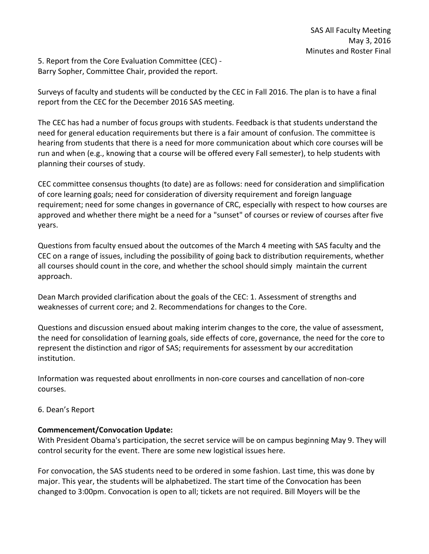5. Report from the Core Evaluation Committee (CEC) - Barry Sopher, Committee Chair, provided the report.

Surveys of faculty and students will be conducted by the CEC in Fall 2016. The plan is to have a final report from the CEC for the December 2016 SAS meeting.

The CEC has had a number of focus groups with students. Feedback is that students understand the need for general education requirements but there is a fair amount of confusion. The committee is hearing from students that there is a need for more communication about which core courses will be run and when (e.g., knowing that a course will be offered every Fall semester), to help students with planning their courses of study.

CEC committee consensus thoughts (to date) are as follows: need for consideration and simplification of core learning goals; need for consideration of diversity requirement and foreign language requirement; need for some changes in governance of CRC, especially with respect to how courses are approved and whether there might be a need for a "sunset" of courses or review of courses after five years.

Questions from faculty ensued about the outcomes of the March 4 meeting with SAS faculty and the CEC on a range of issues, including the possibility of going back to distribution requirements, whether all courses should count in the core, and whether the school should simply maintain the current approach.

Dean March provided clarification about the goals of the CEC: 1. Assessment of strengths and weaknesses of current core; and 2. Recommendations for changes to the Core.

Questions and discussion ensued about making interim changes to the core, the value of assessment, the need for consolidation of learning goals, side effects of core, governance, the need for the core to represent the distinction and rigor of SAS; requirements for assessment by our accreditation institution.

Information was requested about enrollments in non-core courses and cancellation of non-core courses.

# 6. Dean's Report

# **Commencement/Convocation Update:**

With President Obama's participation, the secret service will be on campus beginning May 9. They will control security for the event. There are some new logistical issues here.

For convocation, the SAS students need to be ordered in some fashion. Last time, this was done by major. This year, the students will be alphabetized. The start time of the Convocation has been changed to 3:00pm. Convocation is open to all; tickets are not required. Bill Moyers will be the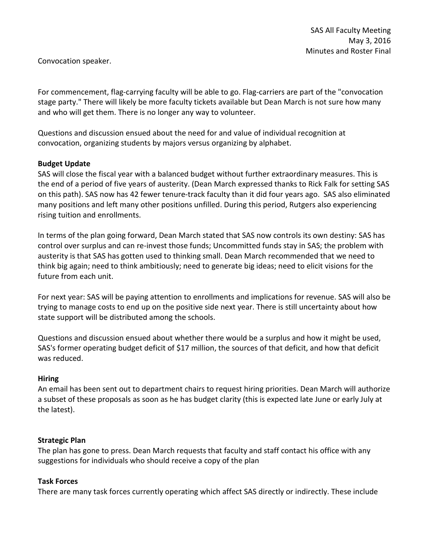Convocation speaker.

For commencement, flag-carrying faculty will be able to go. Flag-carriers are part of the "convocation stage party." There will likely be more faculty tickets available but Dean March is not sure how many and who will get them. There is no longer any way to volunteer.

Questions and discussion ensued about the need for and value of individual recognition at convocation, organizing students by majors versus organizing by alphabet.

## **Budget Update**

SAS will close the fiscal year with a balanced budget without further extraordinary measures. This is the end of a period of five years of austerity. (Dean March expressed thanks to Rick Falk for setting SAS on this path). SAS now has 42 fewer tenure-track faculty than it did four years ago. SAS also eliminated many positions and left many other positions unfilled. During this period, Rutgers also experiencing rising tuition and enrollments.

In terms of the plan going forward, Dean March stated that SAS now controls its own destiny: SAS has control over surplus and can re-invest those funds; Uncommitted funds stay in SAS; the problem with austerity is that SAS has gotten used to thinking small. Dean March recommended that we need to think big again; need to think ambitiously; need to generate big ideas; need to elicit visions for the future from each unit.

For next year: SAS will be paying attention to enrollments and implications for revenue. SAS will also be trying to manage costs to end up on the positive side next year. There is still uncertainty about how state support will be distributed among the schools.

Questions and discussion ensued about whether there would be a surplus and how it might be used, SAS's former operating budget deficit of \$17 million, the sources of that deficit, and how that deficit was reduced.

### **Hiring**

An email has been sent out to department chairs to request hiring priorities. Dean March will authorize a subset of these proposals as soon as he has budget clarity (this is expected late June or early July at the latest).

### **Strategic Plan**

The plan has gone to press. Dean March requests that faculty and staff contact his office with any suggestions for individuals who should receive a copy of the plan

### **Task Forces**

There are many task forces currently operating which affect SAS directly or indirectly. These include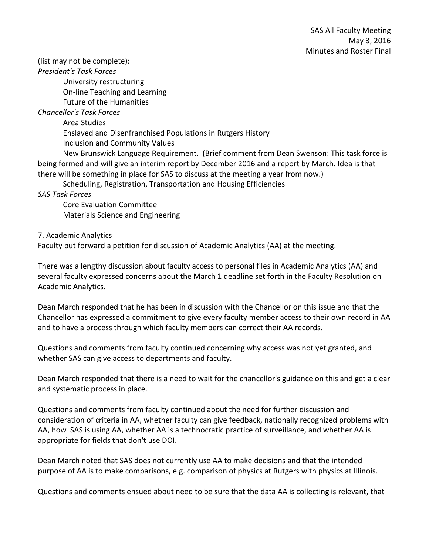(list may not be complete):

*President's Task Forces*

University restructuring On-line Teaching and Learning Future of the Humanities

*Chancellor's Task Forces*

Area Studies

Enslaved and Disenfranchised Populations in Rutgers History

Inclusion and Community Values

New Brunswick Language Requirement. (Brief comment from Dean Swenson: This task force is being formed and will give an interim report by December 2016 and a report by March. Idea is that there will be something in place for SAS to discuss at the meeting a year from now.)

Scheduling, Registration, Transportation and Housing Efficiencies

*SAS Task Forces*

Core Evaluation Committee Materials Science and Engineering

7. Academic Analytics

Faculty put forward a petition for discussion of Academic Analytics (AA) at the meeting.

There was a lengthy discussion about faculty access to personal files in Academic Analytics (AA) and several faculty expressed concerns about the March 1 deadline set forth in the Faculty Resolution on Academic Analytics.

Dean March responded that he has been in discussion with the Chancellor on this issue and that the Chancellor has expressed a commitment to give every faculty member access to their own record in AA and to have a process through which faculty members can correct their AA records.

Questions and comments from faculty continued concerning why access was not yet granted, and whether SAS can give access to departments and faculty.

Dean March responded that there is a need to wait for the chancellor's guidance on this and get a clear and systematic process in place.

Questions and comments from faculty continued about the need for further discussion and consideration of criteria in AA, whether faculty can give feedback, nationally recognized problems with AA, how SAS is using AA, whether AA is a technocratic practice of surveillance, and whether AA is appropriate for fields that don't use DOI.

Dean March noted that SAS does not currently use AA to make decisions and that the intended purpose of AA is to make comparisons, e.g. comparison of physics at Rutgers with physics at Illinois.

Questions and comments ensued about need to be sure that the data AA is collecting is relevant, that